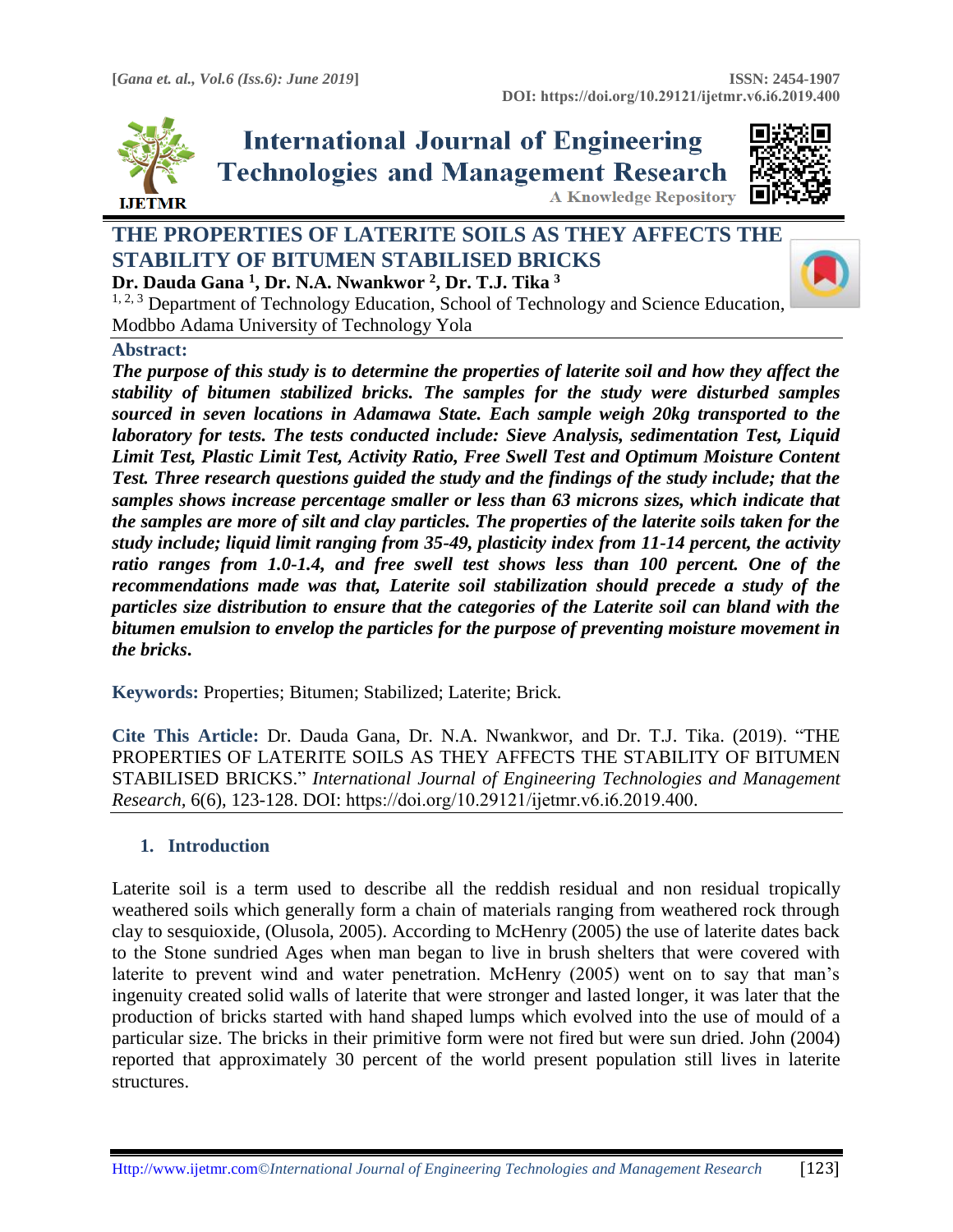

**International Journal of Engineering Technologies and Management Research A Knowledge Repository** 



# **THE PROPERTIES OF LATERITE SOILS AS THEY AFFECTS THE STABILITY OF BITUMEN STABILISED BRICKS Dr. Dauda Gana <sup>1</sup> , Dr. N.A. Nwankwor <sup>2</sup> , Dr. T.J. Tika <sup>3</sup>**



 $1, 2, 3$  Department of Technology Education, School of Technology and Science Education, Modbbo Adama University of Technology Yola

### **Abstract:**

*The purpose of this study is to determine the properties of laterite soil and how they affect the stability of bitumen stabilized bricks. The samples for the study were disturbed samples sourced in seven locations in Adamawa State. Each sample weigh 20kg transported to the laboratory for tests. The tests conducted include: Sieve Analysis, sedimentation Test, Liquid Limit Test, Plastic Limit Test, Activity Ratio, Free Swell Test and Optimum Moisture Content Test. Three research questions guided the study and the findings of the study include; that the samples shows increase percentage smaller or less than 63 microns sizes, which indicate that the samples are more of silt and clay particles. The properties of the laterite soils taken for the study include; liquid limit ranging from 35-49, plasticity index from 11-14 percent, the activity*  ratio ranges from 1.0-1.4, and free swell test shows less than 100 percent. One of the *recommendations made was that, Laterite soil stabilization should precede a study of the particles size distribution to ensure that the categories of the Laterite soil can bland with the bitumen emulsion to envelop the particles for the purpose of preventing moisture movement in the bricks***.**

**Keywords:** Properties; Bitumen; Stabilized; Laterite; Brick*.* 

**Cite This Article:** Dr. Dauda Gana, Dr. N.A. Nwankwor, and Dr. T.J. Tika. (2019). "THE PROPERTIES OF LATERITE SOILS AS THEY AFFECTS THE STABILITY OF BITUMEN STABILISED BRICKS." *International Journal of Engineering Technologies and Management Research,* 6(6), 123-128. DOI: https://doi.org/10.29121/ijetmr.v6.i6.2019.400.

# **1. Introduction**

Laterite soil is a term used to describe all the reddish residual and non residual tropically weathered soils which generally form a chain of materials ranging from weathered rock through clay to sesquioxide, (Olusola, 2005). According to McHenry (2005) the use of laterite dates back to the Stone sundried Ages when man began to live in brush shelters that were covered with laterite to prevent wind and water penetration. McHenry (2005) went on to say that man's ingenuity created solid walls of laterite that were stronger and lasted longer, it was later that the production of bricks started with hand shaped lumps which evolved into the use of mould of a particular size. The bricks in their primitive form were not fired but were sun dried. John (2004) reported that approximately 30 percent of the world present population still lives in laterite structures.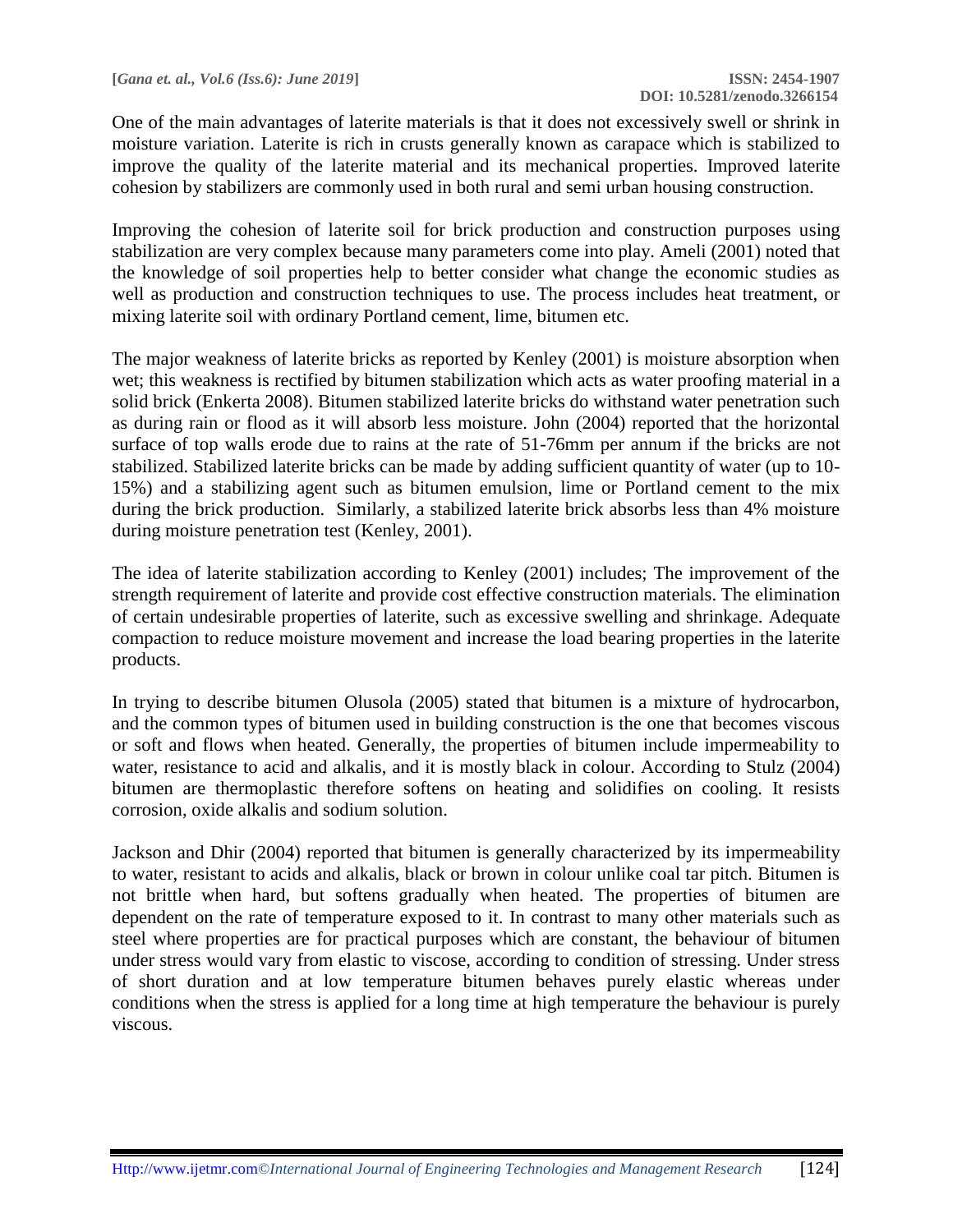One of the main advantages of laterite materials is that it does not excessively swell or shrink in moisture variation. Laterite is rich in crusts generally known as carapace which is stabilized to improve the quality of the laterite material and its mechanical properties. Improved laterite cohesion by stabilizers are commonly used in both rural and semi urban housing construction.

Improving the cohesion of laterite soil for brick production and construction purposes using stabilization are very complex because many parameters come into play. Ameli (2001) noted that the knowledge of soil properties help to better consider what change the economic studies as well as production and construction techniques to use. The process includes heat treatment, or mixing laterite soil with ordinary Portland cement, lime, bitumen etc.

The major weakness of laterite bricks as reported by Kenley (2001) is moisture absorption when wet; this weakness is rectified by bitumen stabilization which acts as water proofing material in a solid brick (Enkerta 2008). Bitumen stabilized laterite bricks do withstand water penetration such as during rain or flood as it will absorb less moisture. John (2004) reported that the horizontal surface of top walls erode due to rains at the rate of 51-76mm per annum if the bricks are not stabilized. Stabilized laterite bricks can be made by adding sufficient quantity of water (up to 10- 15%) and a stabilizing agent such as bitumen emulsion, lime or Portland cement to the mix during the brick production. Similarly, a stabilized laterite brick absorbs less than 4% moisture during moisture penetration test (Kenley, 2001).

The idea of laterite stabilization according to Kenley (2001) includes; The improvement of the strength requirement of laterite and provide cost effective construction materials. The elimination of certain undesirable properties of laterite, such as excessive swelling and shrinkage. Adequate compaction to reduce moisture movement and increase the load bearing properties in the laterite products.

In trying to describe bitumen Olusola (2005) stated that bitumen is a mixture of hydrocarbon, and the common types of bitumen used in building construction is the one that becomes viscous or soft and flows when heated. Generally, the properties of bitumen include impermeability to water, resistance to acid and alkalis, and it is mostly black in colour. According to Stulz (2004) bitumen are thermoplastic therefore softens on heating and solidifies on cooling. It resists corrosion, oxide alkalis and sodium solution.

Jackson and Dhir (2004) reported that bitumen is generally characterized by its impermeability to water, resistant to acids and alkalis, black or brown in colour unlike coal tar pitch. Bitumen is not brittle when hard, but softens gradually when heated. The properties of bitumen are dependent on the rate of temperature exposed to it. In contrast to many other materials such as steel where properties are for practical purposes which are constant, the behaviour of bitumen under stress would vary from elastic to viscose, according to condition of stressing. Under stress of short duration and at low temperature bitumen behaves purely elastic whereas under conditions when the stress is applied for a long time at high temperature the behaviour is purely viscous.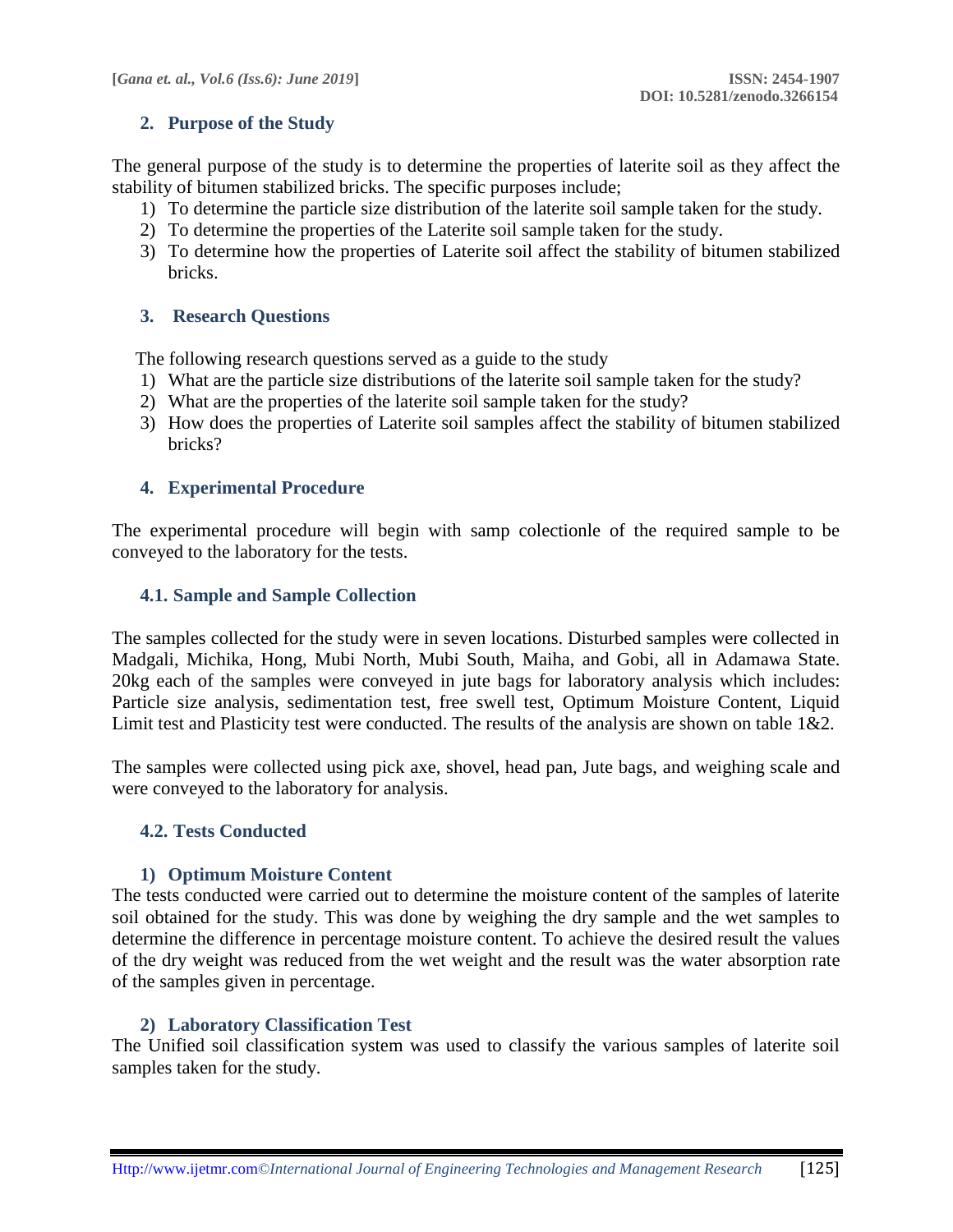### **2. Purpose of the Study**

The general purpose of the study is to determine the properties of laterite soil as they affect the stability of bitumen stabilized bricks. The specific purposes include;

- 1) To determine the particle size distribution of the laterite soil sample taken for the study.
- 2) To determine the properties of the Laterite soil sample taken for the study.
- 3) To determine how the properties of Laterite soil affect the stability of bitumen stabilized bricks.

#### **3. Research Questions**

The following research questions served as a guide to the study

- 1) What are the particle size distributions of the laterite soil sample taken for the study?
- 2) What are the properties of the laterite soil sample taken for the study?
- 3) How does the properties of Laterite soil samples affect the stability of bitumen stabilized bricks?

#### **4. Experimental Procedure**

The experimental procedure will begin with samp colectionle of the required sample to be conveyed to the laboratory for the tests.

#### **4.1. Sample and Sample Collection**

The samples collected for the study were in seven locations. Disturbed samples were collected in Madgali, Michika, Hong, Mubi North, Mubi South, Maiha, and Gobi, all in Adamawa State. 20kg each of the samples were conveyed in jute bags for laboratory analysis which includes: Particle size analysis, sedimentation test, free swell test, Optimum Moisture Content, Liquid Limit test and Plasticity test were conducted. The results of the analysis are shown on table 1&2.

The samples were collected using pick axe, shovel, head pan, Jute bags, and weighing scale and were conveyed to the laboratory for analysis.

#### **4.2. Tests Conducted**

#### **1) Optimum Moisture Content**

The tests conducted were carried out to determine the moisture content of the samples of laterite soil obtained for the study. This was done by weighing the dry sample and the wet samples to determine the difference in percentage moisture content. To achieve the desired result the values of the dry weight was reduced from the wet weight and the result was the water absorption rate of the samples given in percentage.

#### **2) Laboratory Classification Test**

The Unified soil classification system was used to classify the various samples of laterite soil samples taken for the study.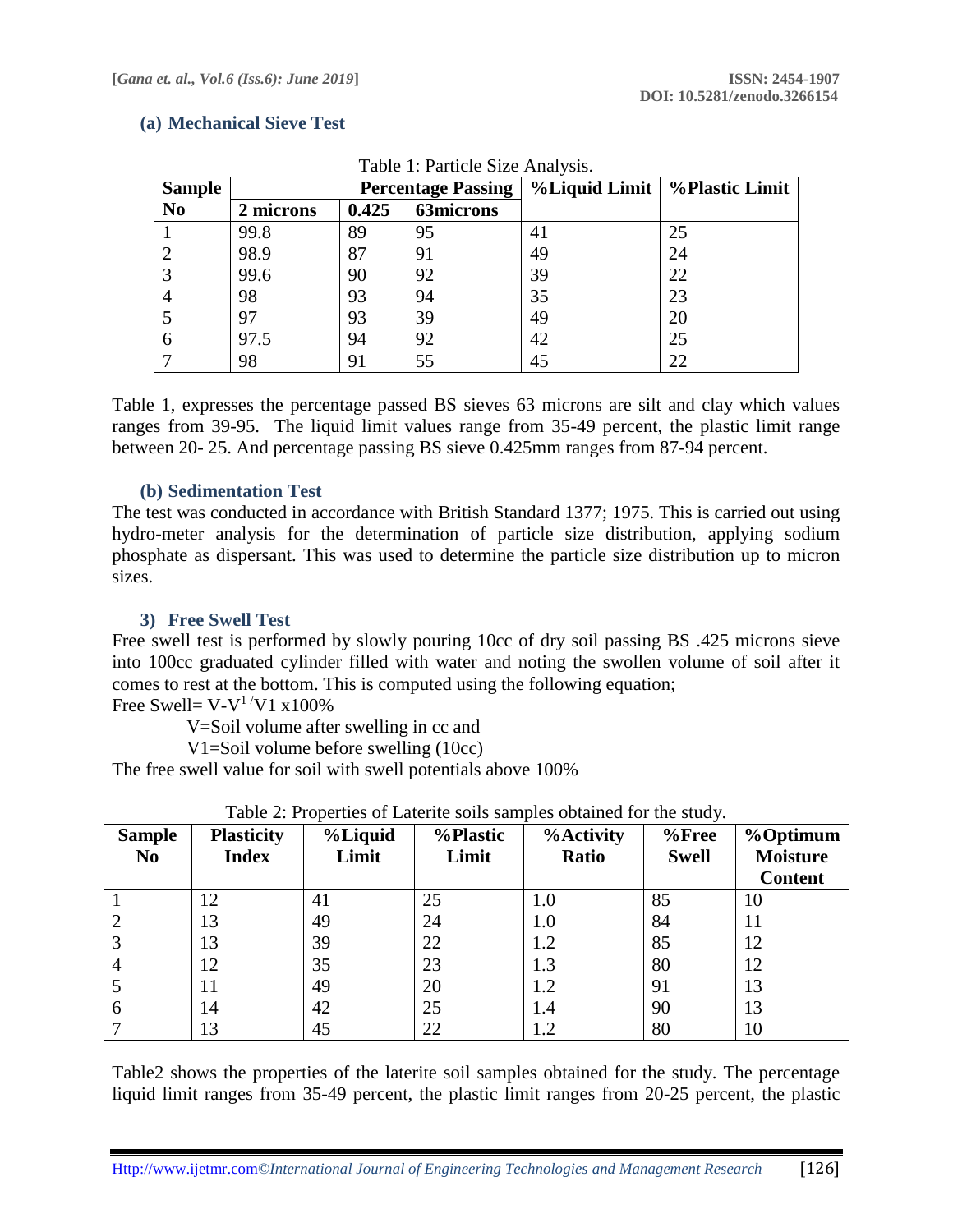#### **(a) Mechanical Sieve Test**

| <b>Sample</b>  | <b>Percentage Passing</b> |       |                  | %Liquid Limit   %Plastic Limit |    |
|----------------|---------------------------|-------|------------------|--------------------------------|----|
| N <sub>0</sub> | 2 microns                 | 0.425 | <b>63microns</b> |                                |    |
|                | 99.8                      | 89    | 95               | 41                             | 25 |
|                | 98.9                      | 87    | 91               | 49                             | 24 |
|                | 99.6                      | 90    | 92               | 39                             | 22 |
| 4              | 98                        | 93    | 94               | 35                             | 23 |
|                | 97                        | 93    | 39               | 49                             | 20 |
| 6              | 97.5                      | 94    | 92               | 42                             | 25 |
|                | 98                        | 91    | 55               | 45                             | 22 |

Table 1: Particle Size Analysis.

Table 1, expresses the percentage passed BS sieves 63 microns are silt and clay which values ranges from 39-95. The liquid limit values range from 35-49 percent, the plastic limit range between 20- 25. And percentage passing BS sieve 0.425mm ranges from 87-94 percent.

### **(b) Sedimentation Test**

The test was conducted in accordance with British Standard 1377; 1975. This is carried out using hydro-meter analysis for the determination of particle size distribution, applying sodium phosphate as dispersant. This was used to determine the particle size distribution up to micron sizes.

# **3) Free Swell Test**

Free swell test is performed by slowly pouring 10cc of dry soil passing BS .425 microns sieve into 100cc graduated cylinder filled with water and noting the swollen volume of soil after it comes to rest at the bottom. This is computed using the following equation;

Free Swell=  $V$ - $V<sup>1</sup>$  $V$ 1 x100%

V=Soil volume after swelling in cc and

V1=Soil volume before swelling (10cc)

The free swell value for soil with swell potentials above 100%

| <b>Sample</b><br>N <sub>0</sub> | <b>Plasticity</b><br><b>Index</b> | %Liquid<br>Limit | %Plastic<br>Limit | <b>%Activity</b><br>Ratio | $%$ Free<br><b>Swell</b> | %Optimum<br><b>Moisture</b><br><b>Content</b> |
|---------------------------------|-----------------------------------|------------------|-------------------|---------------------------|--------------------------|-----------------------------------------------|
|                                 | 12                                | 41               | 25                | 1.0                       | 85                       | 10                                            |
|                                 | 13                                | 49               | 24                | 1.0                       | 84                       | 11                                            |
| 3                               | 13                                | 39               | 22                | 1.2                       | 85                       | 12                                            |
| $\overline{4}$                  | 12                                | 35               | 23                | 1.3                       | 80                       | 12                                            |
|                                 | 11                                | 49               | 20                | 1.2                       | 91                       | 13                                            |
| 6                               | 14                                | 42               | 25                | 1.4                       | 90                       | 13                                            |
|                                 | 13                                | 45               | 22                | 1.2                       | 80                       | 10                                            |

| Table 2: Properties of Laterite soils samples obtained for the study. |  |  |  |  |
|-----------------------------------------------------------------------|--|--|--|--|
|-----------------------------------------------------------------------|--|--|--|--|

Table2 shows the properties of the laterite soil samples obtained for the study. The percentage liquid limit ranges from 35-49 percent, the plastic limit ranges from 20-25 percent, the plastic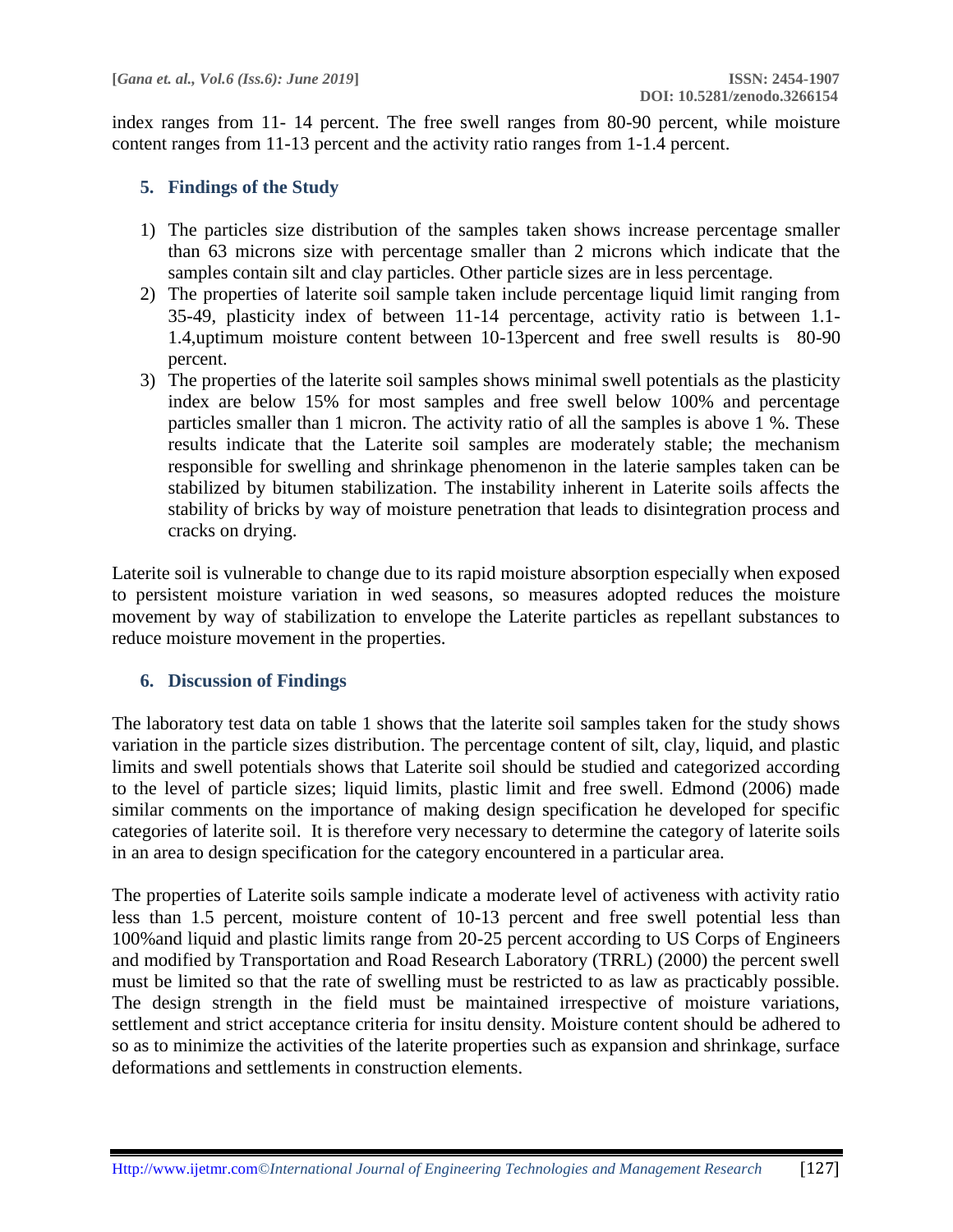index ranges from 11- 14 percent. The free swell ranges from 80-90 percent, while moisture content ranges from 11-13 percent and the activity ratio ranges from 1-1.4 percent.

# **5. Findings of the Study**

- 1) The particles size distribution of the samples taken shows increase percentage smaller than 63 microns size with percentage smaller than 2 microns which indicate that the samples contain silt and clay particles. Other particle sizes are in less percentage.
- 2) The properties of laterite soil sample taken include percentage liquid limit ranging from 35-49, plasticity index of between 11-14 percentage, activity ratio is between 1.1- 1.4,uptimum moisture content between 10-13percent and free swell results is 80-90 percent.
- 3) The properties of the laterite soil samples shows minimal swell potentials as the plasticity index are below 15% for most samples and free swell below 100% and percentage particles smaller than 1 micron. The activity ratio of all the samples is above 1 %. These results indicate that the Laterite soil samples are moderately stable; the mechanism responsible for swelling and shrinkage phenomenon in the laterie samples taken can be stabilized by bitumen stabilization. The instability inherent in Laterite soils affects the stability of bricks by way of moisture penetration that leads to disintegration process and cracks on drying.

Laterite soil is vulnerable to change due to its rapid moisture absorption especially when exposed to persistent moisture variation in wed seasons, so measures adopted reduces the moisture movement by way of stabilization to envelope the Laterite particles as repellant substances to reduce moisture movement in the properties.

# **6. Discussion of Findings**

The laboratory test data on table 1 shows that the laterite soil samples taken for the study shows variation in the particle sizes distribution. The percentage content of silt, clay, liquid, and plastic limits and swell potentials shows that Laterite soil should be studied and categorized according to the level of particle sizes; liquid limits, plastic limit and free swell. Edmond (2006) made similar comments on the importance of making design specification he developed for specific categories of laterite soil. It is therefore very necessary to determine the category of laterite soils in an area to design specification for the category encountered in a particular area.

The properties of Laterite soils sample indicate a moderate level of activeness with activity ratio less than 1.5 percent, moisture content of 10-13 percent and free swell potential less than 100%and liquid and plastic limits range from 20-25 percent according to US Corps of Engineers and modified by Transportation and Road Research Laboratory (TRRL) (2000) the percent swell must be limited so that the rate of swelling must be restricted to as law as practicably possible. The design strength in the field must be maintained irrespective of moisture variations, settlement and strict acceptance criteria for insitu density. Moisture content should be adhered to so as to minimize the activities of the laterite properties such as expansion and shrinkage, surface deformations and settlements in construction elements.